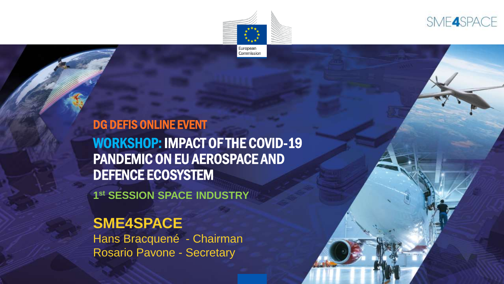



#### DG DEFIS ONLINE EVENT

WORKSHOP: IMPACT OF THE COVID-19 PANDEMIC ON EU AEROSPACE AND DEFENCE ECOSYSTEM

**1 st SESSION SPACE INDUSTRY**

#### **SME4SPACE**

Hans Bracquené - Chairman Rosario Pavone - Secretary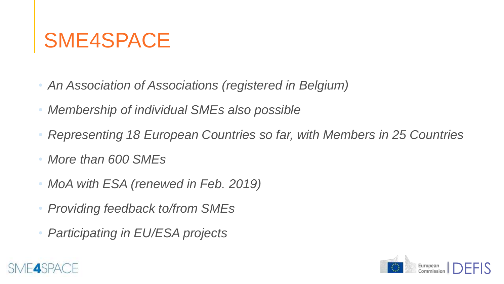## SME4SPACE

- *An Association of Associations (registered in Belgium)*
- *Membership of individual SMEs also possible*
- *Representing 18 European Countries so far, with Members in 25 Countries*
- *More than 600 SMEs*
- *MoA with ESA (renewed in Feb. 2019)*
- *Providing feedback to/from SMEs*
- *Participating in EU/ESA projects*



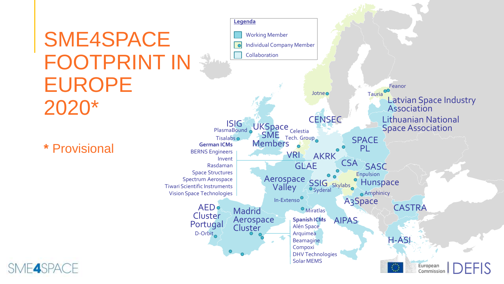# SME4SPACE FOOTPRINT IN EUROPE 2020\*

**\*** Provisional

SME4SPACE

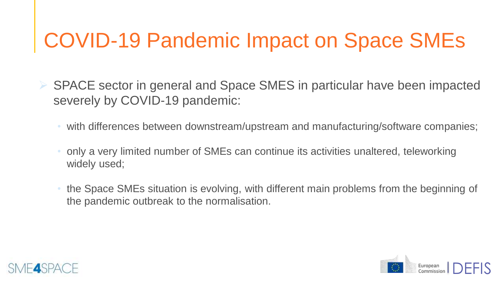## COVID-19 Pandemic Impact on Space SMEs

- SPACE sector in general and Space SMES in particular have been impacted severely by COVID-19 pandemic:
	- with differences between downstream/upstream and manufacturing/software companies;
	- only a very limited number of SMEs can continue its activities unaltered, teleworking widely used;
	- the Space SMEs situation is evolving, with different main problems from the beginning of the pandemic outbreak to the normalisation.



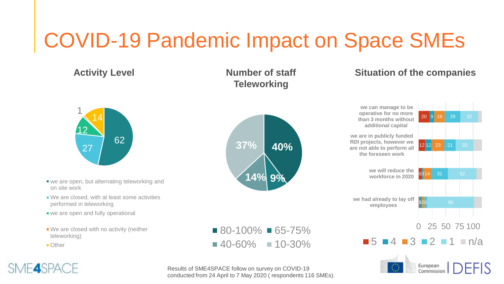## COVID-19 Pandemic Impact on Space SMEs

**Activity Level**



- we are open, but alternating teleworking and on site work
- We are closed, with at least some activities performed in teleworking
- we are open and fully operational
- We are closed with no activity (neither teleworking)
- Other

SME4SPACE





 $\blacksquare$  80-100%  $\blacksquare$  65-75%

 $\blacksquare$  40-60%  $\blacksquare$  10-30%

#### **Situation of the companies**





Results of SME4SPACE follow on survey on COVID-19 conducted from 24 April to 7 May 2020 ( respondents 116 SMEs).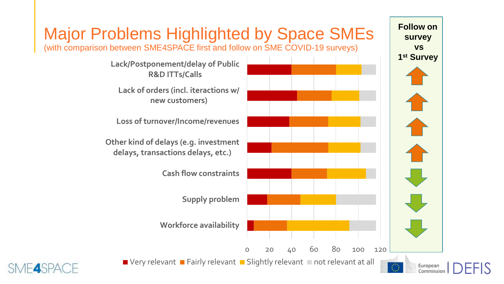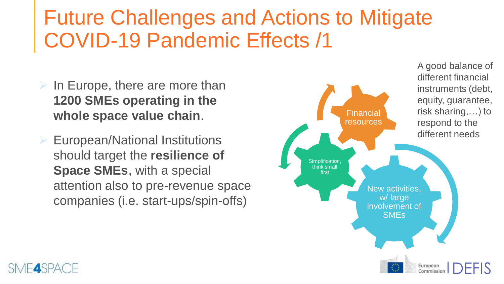### Future Challenges and Actions to Mitigate COVID-19 Pandemic Effects /1

- $\triangleright$  In Europe, there are more than **1200 SMEs operating in the whole space value chain**.
- European/National Institutions should target the **resilience of Space SMEs**, with a special attention also to pre-revenue space companies (i.e. start-ups/spin-offs)



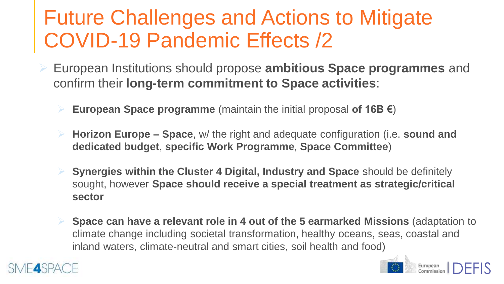### Future Challenges and Actions to Mitigate COVID-19 Pandemic Effects /2

- European Institutions should propose **ambitious Space programmes** and confirm their **long-term commitment to Space activities**:
	- **European Space programme** (maintain the initial proposal **of 16B €**)
	- **Horizon Europe – Space**, w/ the right and adequate configuration (i.e. **sound and dedicated budget**, **specific Work Programme**, **Space Committee**)
	- **Synergies within the Cluster 4 Digital, Industry and Space** should be definitely sought, however **Space should receive a special treatment as strategic/critical sector**
	- **Space can have a relevant role in 4 out of the 5 earmarked Missions** (adaptation to climate change including societal transformation, healthy oceans, seas, coastal and inland waters, climate-neutral and smart cities, soil health and food)

DEFIS

European<br>Commissior

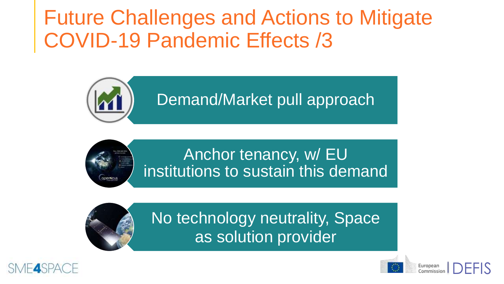Future Challenges and Actions to Mitigate COVID-19 Pandemic Effects /3







No technology neutrality, Space as solution provider